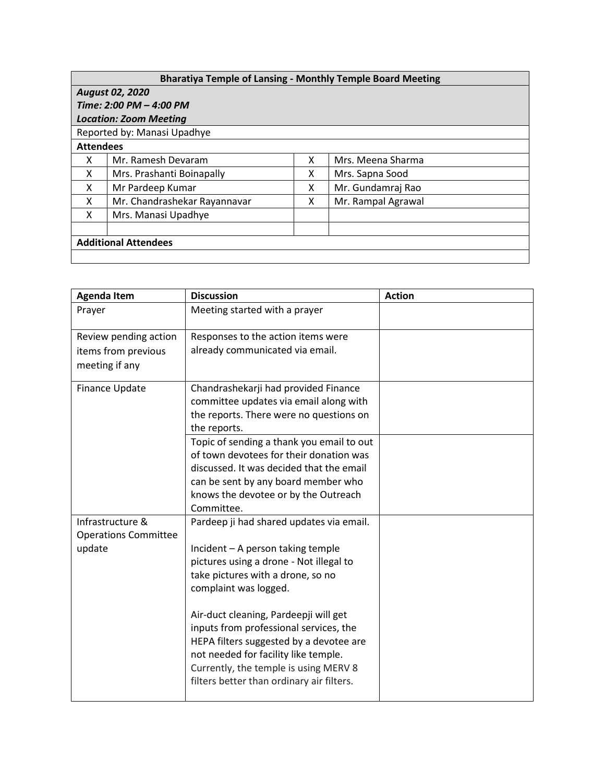|                  | <b>Bharatiya Temple of Lansing - Monthly Temple Board Meeting</b> |   |                    |
|------------------|-------------------------------------------------------------------|---|--------------------|
|                  | <b>August 02, 2020</b>                                            |   |                    |
|                  | Time: 2:00 PM - 4:00 PM                                           |   |                    |
|                  | <b>Location: Zoom Meeting</b>                                     |   |                    |
|                  | Reported by: Manasi Upadhye                                       |   |                    |
| <b>Attendees</b> |                                                                   |   |                    |
| x                | Mr. Ramesh Devaram                                                | x | Mrs. Meena Sharma  |
| x                | Mrs. Prashanti Boinapally                                         | x | Mrs. Sapna Sood    |
| X                | Mr Pardeep Kumar                                                  | x | Mr. Gundamraj Rao  |
| x                | Mr. Chandrashekar Rayannavar                                      | x | Mr. Rampal Agrawal |
| x                | Mrs. Manasi Upadhye                                               |   |                    |
|                  |                                                                   |   |                    |
|                  | <b>Additional Attendees</b>                                       |   |                    |
|                  |                                                                   |   |                    |

| <b>Agenda Item</b>                    | <b>Discussion</b>                         | <b>Action</b> |
|---------------------------------------|-------------------------------------------|---------------|
| Prayer                                | Meeting started with a prayer             |               |
| Review pending action                 | Responses to the action items were        |               |
| items from previous<br>meeting if any | already communicated via email.           |               |
| Finance Update                        | Chandrashekarji had provided Finance      |               |
|                                       | committee updates via email along with    |               |
|                                       | the reports. There were no questions on   |               |
|                                       | the reports.                              |               |
|                                       | Topic of sending a thank you email to out |               |
|                                       | of town devotees for their donation was   |               |
|                                       | discussed. It was decided that the email  |               |
|                                       | can be sent by any board member who       |               |
|                                       | knows the devotee or by the Outreach      |               |
|                                       | Committee.                                |               |
| Infrastructure &                      | Pardeep ji had shared updates via email.  |               |
| <b>Operations Committee</b>           |                                           |               |
| update                                | Incident - A person taking temple         |               |
|                                       | pictures using a drone - Not illegal to   |               |
|                                       | take pictures with a drone, so no         |               |
|                                       | complaint was logged.                     |               |
|                                       | Air-duct cleaning, Pardeepji will get     |               |
|                                       | inputs from professional services, the    |               |
|                                       | HEPA filters suggested by a devotee are   |               |
|                                       | not needed for facility like temple.      |               |
|                                       | Currently, the temple is using MERV 8     |               |
|                                       | filters better than ordinary air filters. |               |
|                                       |                                           |               |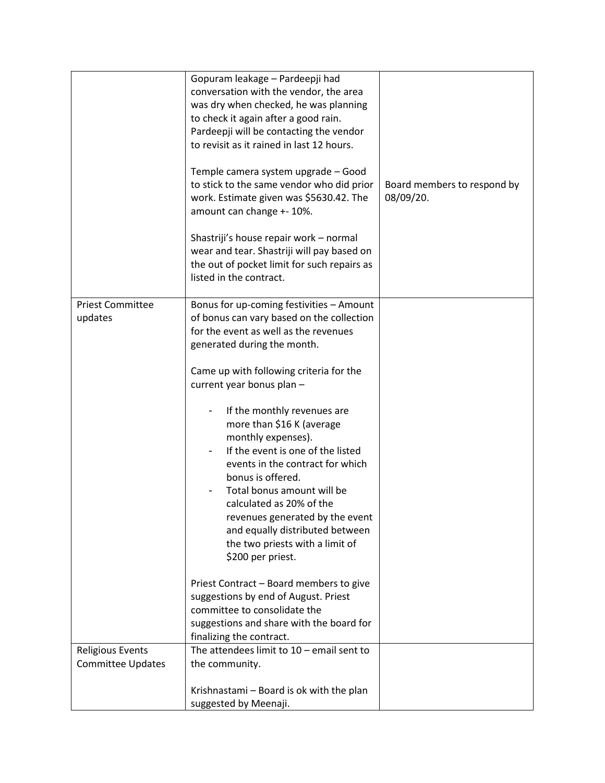|                                                     | Gopuram leakage - Pardeepji had<br>conversation with the vendor, the area<br>was dry when checked, he was planning<br>to check it again after a good rain.<br>Pardeepji will be contacting the vendor<br>to revisit as it rained in last 12 hours.<br>Temple camera system upgrade - Good<br>to stick to the same vendor who did prior<br>work. Estimate given was \$5630.42. The<br>amount can change +- 10%.<br>Shastriji's house repair work - normal<br>wear and tear. Shastriji will pay based on<br>the out of pocket limit for such repairs as<br>listed in the contract.                                                                                                                 | Board members to respond by<br>08/09/20. |
|-----------------------------------------------------|--------------------------------------------------------------------------------------------------------------------------------------------------------------------------------------------------------------------------------------------------------------------------------------------------------------------------------------------------------------------------------------------------------------------------------------------------------------------------------------------------------------------------------------------------------------------------------------------------------------------------------------------------------------------------------------------------|------------------------------------------|
| <b>Priest Committee</b><br>updates                  | Bonus for up-coming festivities - Amount<br>of bonus can vary based on the collection<br>for the event as well as the revenues<br>generated during the month.<br>Came up with following criteria for the<br>current year bonus plan -<br>If the monthly revenues are<br>more than \$16 K (average<br>monthly expenses).<br>If the event is one of the listed<br>events in the contract for which<br>bonus is offered.<br>Total bonus amount will be<br>calculated as 20% of the<br>revenues generated by the event<br>and equally distributed between<br>the two priests with a limit of<br>\$200 per priest.<br>Priest Contract - Board members to give<br>suggestions by end of August. Priest |                                          |
|                                                     | committee to consolidate the<br>suggestions and share with the board for<br>finalizing the contract.                                                                                                                                                                                                                                                                                                                                                                                                                                                                                                                                                                                             |                                          |
| <b>Religious Events</b><br><b>Committee Updates</b> | The attendees limit to $10$ – email sent to<br>the community.                                                                                                                                                                                                                                                                                                                                                                                                                                                                                                                                                                                                                                    |                                          |
|                                                     | Krishnastami - Board is ok with the plan<br>suggested by Meenaji.                                                                                                                                                                                                                                                                                                                                                                                                                                                                                                                                                                                                                                |                                          |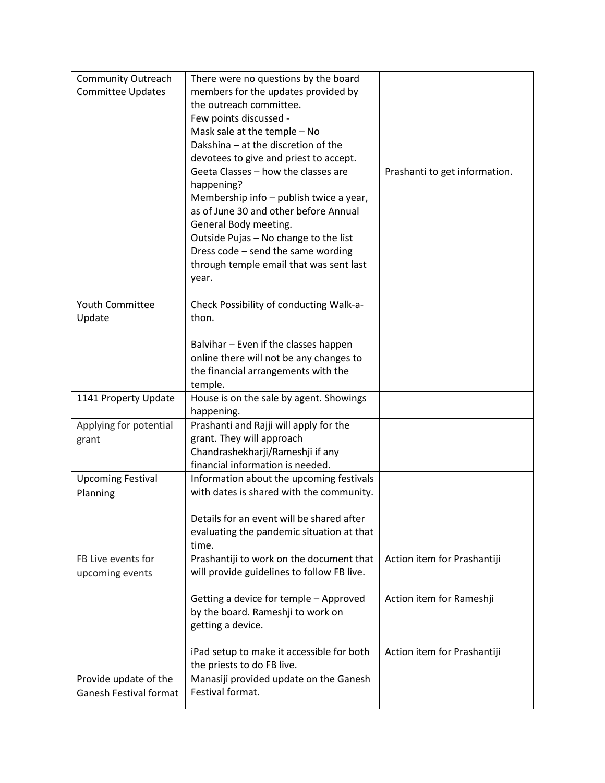| <b>Community Outreach</b>     | There were no questions by the board                                                   |                               |
|-------------------------------|----------------------------------------------------------------------------------------|-------------------------------|
| <b>Committee Updates</b>      | members for the updates provided by                                                    |                               |
|                               | the outreach committee.                                                                |                               |
|                               | Few points discussed -                                                                 |                               |
|                               | Mask sale at the temple - No                                                           |                               |
|                               | Dakshina - at the discretion of the                                                    |                               |
|                               | devotees to give and priest to accept.                                                 |                               |
|                               | Geeta Classes - how the classes are                                                    | Prashanti to get information. |
|                               | happening?                                                                             |                               |
|                               | Membership info – publish twice a year,                                                |                               |
|                               | as of June 30 and other before Annual                                                  |                               |
|                               | General Body meeting.                                                                  |                               |
|                               | Outside Pujas - No change to the list<br>Dress code - send the same wording            |                               |
|                               | through temple email that was sent last                                                |                               |
|                               | year.                                                                                  |                               |
|                               |                                                                                        |                               |
| <b>Youth Committee</b>        | Check Possibility of conducting Walk-a-                                                |                               |
| Update                        | thon.                                                                                  |                               |
|                               |                                                                                        |                               |
|                               | Balvihar - Even if the classes happen                                                  |                               |
|                               | online there will not be any changes to                                                |                               |
|                               | the financial arrangements with the                                                    |                               |
|                               | temple.                                                                                |                               |
| 1141 Property Update          | House is on the sale by agent. Showings                                                |                               |
|                               | happening.                                                                             |                               |
| Applying for potential        | Prashanti and Rajji will apply for the                                                 |                               |
| grant                         | grant. They will approach                                                              |                               |
|                               | Chandrashekharji/Rameshji if any<br>financial information is needed.                   |                               |
|                               |                                                                                        |                               |
|                               |                                                                                        |                               |
| <b>Upcoming Festival</b>      | Information about the upcoming festivals                                               |                               |
| Planning                      | with dates is shared with the community.                                               |                               |
|                               |                                                                                        |                               |
|                               | Details for an event will be shared after                                              |                               |
|                               | evaluating the pandemic situation at that                                              |                               |
|                               | time.                                                                                  |                               |
| FB Live events for            | Prashantiji to work on the document that<br>will provide guidelines to follow FB live. | Action item for Prashantiji   |
| upcoming events               |                                                                                        |                               |
|                               | Getting a device for temple - Approved                                                 | Action item for Rameshji      |
|                               | by the board. Rameshji to work on                                                      |                               |
|                               | getting a device.                                                                      |                               |
|                               |                                                                                        |                               |
|                               | iPad setup to make it accessible for both                                              | Action item for Prashantiji   |
|                               | the priests to do FB live.                                                             |                               |
| Provide update of the         | Manasiji provided update on the Ganesh                                                 |                               |
| <b>Ganesh Festival format</b> | Festival format.                                                                       |                               |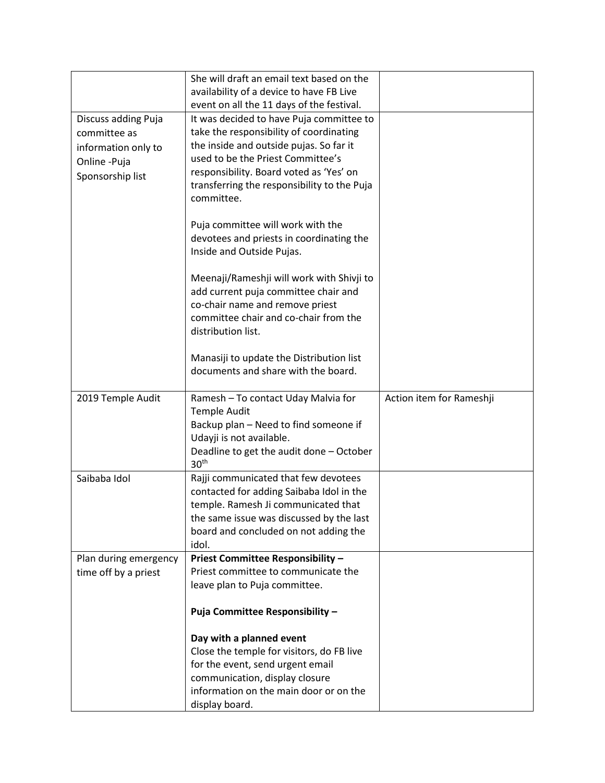|                       | She will draft an email text based on the                                    |                          |
|-----------------------|------------------------------------------------------------------------------|--------------------------|
|                       | availability of a device to have FB Live                                     |                          |
|                       | event on all the 11 days of the festival.                                    |                          |
| Discuss adding Puja   | It was decided to have Puja committee to                                     |                          |
| committee as          | take the responsibility of coordinating                                      |                          |
| information only to   | the inside and outside pujas. So far it<br>used to be the Priest Committee's |                          |
| Online -Puja          | responsibility. Board voted as 'Yes' on                                      |                          |
| Sponsorship list      | transferring the responsibility to the Puja                                  |                          |
|                       | committee.                                                                   |                          |
|                       |                                                                              |                          |
|                       | Puja committee will work with the                                            |                          |
|                       | devotees and priests in coordinating the                                     |                          |
|                       | Inside and Outside Pujas.                                                    |                          |
|                       |                                                                              |                          |
|                       | Meenaji/Rameshji will work with Shivji to                                    |                          |
|                       | add current puja committee chair and                                         |                          |
|                       | co-chair name and remove priest<br>committee chair and co-chair from the     |                          |
|                       | distribution list.                                                           |                          |
|                       |                                                                              |                          |
|                       | Manasiji to update the Distribution list                                     |                          |
|                       | documents and share with the board.                                          |                          |
|                       |                                                                              |                          |
| 2019 Temple Audit     | Ramesh - To contact Uday Malvia for                                          | Action item for Rameshji |
|                       | <b>Temple Audit</b>                                                          |                          |
|                       |                                                                              |                          |
|                       | Backup plan - Need to find someone if                                        |                          |
|                       | Udayji is not available.                                                     |                          |
|                       | Deadline to get the audit done - October                                     |                          |
|                       | 30 <sup>th</sup>                                                             |                          |
| Saibaba Idol          | Rajji communicated that few devotees                                         |                          |
|                       | contacted for adding Saibaba Idol in the                                     |                          |
|                       | temple. Ramesh Ji communicated that                                          |                          |
|                       | the same issue was discussed by the last                                     |                          |
|                       | board and concluded on not adding the<br>idol.                               |                          |
| Plan during emergency | Priest Committee Responsibility -                                            |                          |
| time off by a priest  | Priest committee to communicate the                                          |                          |
|                       | leave plan to Puja committee.                                                |                          |
|                       |                                                                              |                          |
|                       | Puja Committee Responsibility -                                              |                          |
|                       |                                                                              |                          |
|                       | Day with a planned event<br>Close the temple for visitors, do FB live        |                          |
|                       | for the event, send urgent email                                             |                          |
|                       | communication, display closure                                               |                          |
|                       | information on the main door or on the                                       |                          |